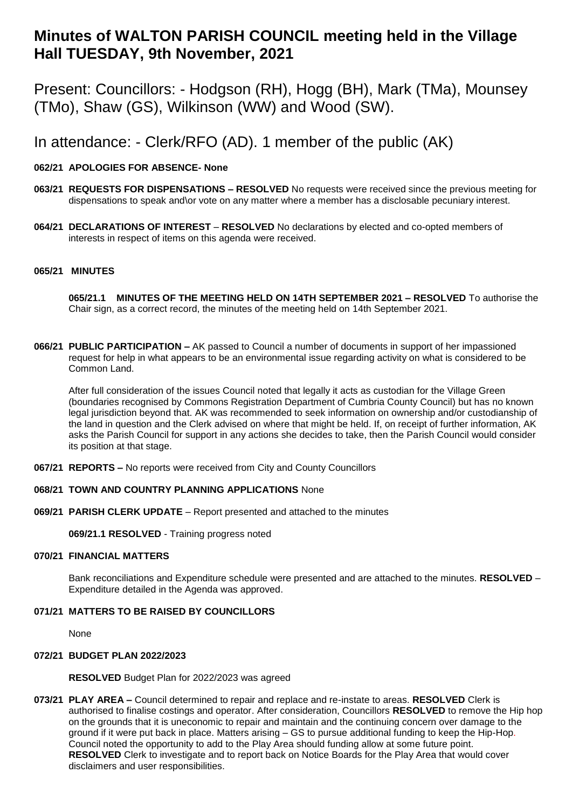# **Minutes of WALTON PARISH COUNCIL meeting held in the Village Hall TUESDAY, 9th November, 2021**

Present: Councillors: - Hodgson (RH), Hogg (BH), Mark (TMa), Mounsey (TMo), Shaw (GS), Wilkinson (WW) and Wood (SW).

In attendance: - Clerk/RFO (AD). 1 member of the public (AK)

# **062/21 APOLOGIES FOR ABSENCE- None**

- **063/21 REQUESTS FOR DISPENSATIONS – RESOLVED** No requests were received since the previous meeting for dispensations to speak and\or vote on any matter where a member has a disclosable pecuniary interest.
- **064/21 DECLARATIONS OF INTEREST RESOLVED** No declarations by elected and co-opted members of interests in respect of items on this agenda were received.

### **065/21 MINUTES**

**065/21.1 MINUTES OF THE MEETING HELD ON 14TH SEPTEMBER 2021 – RESOLVED** To authorise the Chair sign, as a correct record, the minutes of the meeting held on 14th September 2021.

**066/21 PUBLIC PARTICIPATION –** AK passed to Council a number of documents in support of her impassioned request for help in what appears to be an environmental issue regarding activity on what is considered to be Common Land.

After full consideration of the issues Council noted that legally it acts as custodian for the Village Green (boundaries recognised by Commons Registration Department of Cumbria County Council) but has no known legal jurisdiction beyond that. AK was recommended to seek information on ownership and/or custodianship of the land in question and the Clerk advised on where that might be held. If, on receipt of further information, AK asks the Parish Council for support in any actions she decides to take, then the Parish Council would consider its position at that stage.

**067/21 REPORTS –** No reports were received from City and County Councillors

#### **068/21 TOWN AND COUNTRY PLANNING APPLICATIONS** None

**069/21 PARISH CLERK UPDATE** – Report presented and attached to the minutes

**069/21.1 RESOLVED** - Training progress noted

#### **070/21 FINANCIAL MATTERS**

Bank reconciliations and Expenditure schedule were presented and are attached to the minutes. **RESOLVED** – Expenditure detailed in the Agenda was approved.

# **071/21 MATTERS TO BE RAISED BY COUNCILLORS**

None

# **072/21 BUDGET PLAN 2022/2023**

**RESOLVED** Budget Plan for 2022/2023 was agreed

**073/21 PLAY AREA –** Council determined to repair and replace and re-instate to areas. **RESOLVED** Clerk is authorised to finalise costings and operator. After consideration, Councillors **RESOLVED** to remove the Hip hop on the grounds that it is uneconomic to repair and maintain and the continuing concern over damage to the ground if it were put back in place. Matters arising – GS to pursue additional funding to keep the Hip-Hop. Council noted the opportunity to add to the Play Area should funding allow at some future point. **RESOLVED** Clerk to investigate and to report back on Notice Boards for the Play Area that would cover disclaimers and user responsibilities.